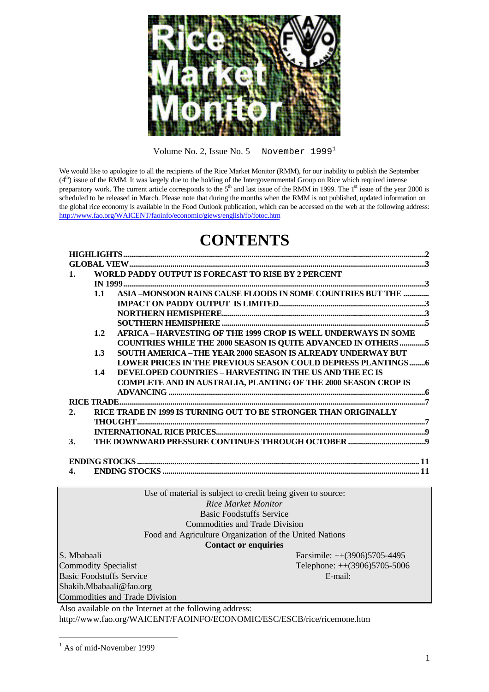

Volume No. 2, Issue No.  $5 -$  November 1999<sup>1</sup>

We would like to apologize to all the recipients of the Rice Market Monitor (RMM), for our inability to publish the September  $(4<sup>th</sup>)$  issue of the RMM. It was largely due to the holding of the Intergovernmental Group on Rice which required intense preparatory work. The current article corresponds to the  $5<sup>th</sup>$  and last issue of the RMM in 1999. The  $1<sup>st</sup>$  issue of the year 2000 is scheduled to be released in March. Please note that during the months when the RMM is not published, updated information on the global rice economy is available in the Food Outlook publication, which can be accessed on the web at the following address: http://www.fao.org/WAICENT/faoinfo/economic/giews/english/fo/fotoc.htm

# **CONTENTS**

| $\mathbf{1}$ .     |     | WORLD PADDY OUTPUT IS FORECAST TO RISE BY 2 PERCENT                   |  |  |  |  |  |  |
|--------------------|-----|-----------------------------------------------------------------------|--|--|--|--|--|--|
|                    |     |                                                                       |  |  |  |  |  |  |
|                    |     | ASIA -MONSOON RAINS CAUSE FLOODS IN SOME COUNTRIES BUT THE<br>1.1     |  |  |  |  |  |  |
|                    |     |                                                                       |  |  |  |  |  |  |
|                    |     |                                                                       |  |  |  |  |  |  |
|                    |     |                                                                       |  |  |  |  |  |  |
|                    | 1.2 | <b>AFRICA – HARVESTING OF THE 1999 CROP IS WELL UNDERWAYS IN SOME</b> |  |  |  |  |  |  |
|                    |     | <b>COUNTRIES WHILE THE 2000 SEASON IS QUITE ADVANCED IN OTHERS 5</b>  |  |  |  |  |  |  |
|                    | 1.3 | <b>SOUTH AMERICA -THE YEAR 2000 SEASON IS ALREADY UNDERWAY BUT</b>    |  |  |  |  |  |  |
|                    |     | <b>LOWER PRICES IN THE PREVIOUS SEASON COULD DEPRESS PLANTINGS6</b>   |  |  |  |  |  |  |
|                    | 1.4 | <b>DEVELOPED COUNTRIES - HARVESTING IN THE US AND THE EC IS</b>       |  |  |  |  |  |  |
|                    |     | <b>COMPLETE AND IN AUSTRALIA, PLANTING OF THE 2000 SEASON CROP IS</b> |  |  |  |  |  |  |
|                    |     |                                                                       |  |  |  |  |  |  |
|                    |     |                                                                       |  |  |  |  |  |  |
| 2.                 |     | RICE TRADE IN 1999 IS TURNING OUT TO BE STRONGER THAN ORIGINALLY      |  |  |  |  |  |  |
|                    |     |                                                                       |  |  |  |  |  |  |
|                    |     |                                                                       |  |  |  |  |  |  |
| 3.                 |     |                                                                       |  |  |  |  |  |  |
|                    |     |                                                                       |  |  |  |  |  |  |
|                    |     |                                                                       |  |  |  |  |  |  |
| $\boldsymbol{4}$ . |     |                                                                       |  |  |  |  |  |  |
|                    |     |                                                                       |  |  |  |  |  |  |
|                    |     |                                                                       |  |  |  |  |  |  |
|                    |     | Use of material is subject to credit being given to source:           |  |  |  |  |  |  |
|                    |     | <b>Rice Market Monitor</b>                                            |  |  |  |  |  |  |
|                    |     | <b>Basic Foodstuffs Service</b>                                       |  |  |  |  |  |  |

Commodities and Trade Division

Food and Agriculture Organization of the United Nations

#### **Contact or enquiries**

Basic Foodstuffs Service E-mail: Shakib.Mbabaali@fao.org Commodities and Trade Division

S. Mbabaali Facsimile: ++(3906)5705-4495 Commodity Specialist Telephone: ++(3906)5705-5006

Also available on the Internet at the following address: http://www.fao.org/WAICENT/FAOINFO/ECONOMIC/ESC/ESCB/rice/ricemone.htm

<sup>&</sup>lt;sup>1</sup> As of mid-November 1999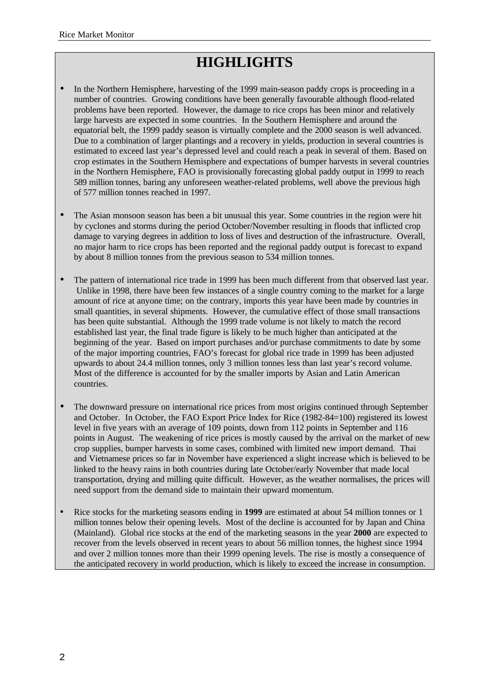# **HIGHLIGHTS**

- In the Northern Hemisphere, harvesting of the 1999 main-season paddy crops is proceeding in a number of countries. Growing conditions have been generally favourable although flood-related problems have been reported. However, the damage to rice crops has been minor and relatively large harvests are expected in some countries. In the Southern Hemisphere and around the equatorial belt, the 1999 paddy season is virtually complete and the 2000 season is well advanced. Due to a combination of larger plantings and a recovery in yields, production in several countries is estimated to exceed last year's depressed level and could reach a peak in several of them. Based on crop estimates in the Southern Hemisphere and expectations of bumper harvests in several countries in the Northern Hemisphere, FAO is provisionally forecasting global paddy output in 1999 to reach 589 million tonnes, baring any unforeseen weather-related problems, well above the previous high of 577 million tonnes reached in 1997.
- The Asian monsoon season has been a bit unusual this year. Some countries in the region were hit by cyclones and storms during the period October/November resulting in floods that inflicted crop damage to varying degrees in addition to loss of lives and destruction of the infrastructure. Overall, no major harm to rice crops has been reported and the regional paddy output is forecast to expand by about 8 million tonnes from the previous season to 534 million tonnes.
- The pattern of international rice trade in 1999 has been much different from that observed last year. Unlike in 1998, there have been few instances of a single country coming to the market for a large amount of rice at anyone time; on the contrary, imports this year have been made by countries in small quantities, in several shipments. However, the cumulative effect of those small transactions has been quite substantial. Although the 1999 trade volume is not likely to match the record established last year, the final trade figure is likely to be much higher than anticipated at the beginning of the year. Based on import purchases and/or purchase commitments to date by some of the major importing countries, FAO's forecast for global rice trade in 1999 has been adjusted upwards to about 24.4 million tonnes, only 3 million tonnes less than last year's record volume. Most of the difference is accounted for by the smaller imports by Asian and Latin American countries.
- The downward pressure on international rice prices from most origins continued through September and October. In October, the FAO Export Price Index for Rice (1982-84=100) registered its lowest level in five years with an average of 109 points, down from 112 points in September and 116 points in August. The weakening of rice prices is mostly caused by the arrival on the market of new crop supplies, bumper harvests in some cases, combined with limited new import demand. Thai and Vietnamese prices so far in November have experienced a slight increase which is believed to be linked to the heavy rains in both countries during late October/early November that made local transportation, drying and milling quite difficult. However, as the weather normalises, the prices will need support from the demand side to maintain their upward momentum.
- Rice stocks for the marketing seasons ending in 1999 are estimated at about 54 million tonnes or 1 million tonnes below their opening levels. Most of the decline is accounted for by Japan and China (Mainland). Global rice stocks at the end of the marketing seasons in the year **2000** are expected to recover from the levels observed in recent years to about 56 million tonnes, the highest since 1994 and over 2 million tonnes more than their 1999 opening levels. The rise is mostly a consequence of the anticipated recovery in world production, which is likely to exceed the increase in consumption.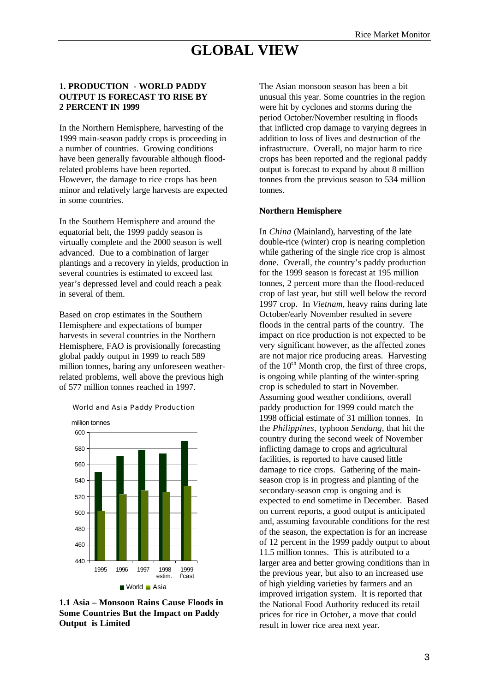# **GLOBAL VIEW**

#### **1. PRODUCTION - WORLD PADDY OUTPUT IS FORECAST TO RISE BY 2 PERCENT IN 1999**

In the Northern Hemisphere, harvesting of the 1999 main-season paddy crops is proceeding in a number of countries. Growing conditions have been generally favourable although floodrelated problems have been reported. However, the damage to rice crops has been minor and relatively large harvests are expected in some countries.

In the Southern Hemisphere and around the equatorial belt, the 1999 paddy season is virtually complete and the 2000 season is well advanced. Due to a combination of larger plantings and a recovery in yields, production in several countries is estimated to exceed last year's depressed level and could reach a peak in several of them.

Based on crop estimates in the Southern Hemisphere and expectations of bumper harvests in several countries in the Northern Hemisphere, FAO is provisionally forecasting global paddy output in 1999 to reach 589 million tonnes, baring any unforeseen weatherrelated problems, well above the previous high of 577 million tonnes reached in 1997.





**1.1 Asia – Monsoon Rains Cause Floods in Some Countries But the Impact on Paddy Output is Limited**

The Asian monsoon season has been a bit unusual this year. Some countries in the region were hit by cyclones and storms during the period October/November resulting in floods that inflicted crop damage to varying degrees in addition to loss of lives and destruction of the infrastructure. Overall, no major harm to rice crops has been reported and the regional paddy output is forecast to expand by about 8 million tonnes from the previous season to 534 million tonnes.

#### **Northern Hemisphere**

In *China* (Mainland), harvesting of the late double-rice (winter) crop is nearing completion while gathering of the single rice crop is almost done. Overall, the country's paddy production for the 1999 season is forecast at 195 million tonnes, 2 percent more than the flood-reduced crop of last year, but still well below the record 1997 crop. In *Vietnam*, heavy rains during late October/early November resulted in severe floods in the central parts of the country. The impact on rice production is not expected to be very significant however, as the affected zones are not major rice producing areas. Harvesting of the  $10^{th}$  Month crop, the first of three crops, is ongoing while planting of the winter-spring crop is scheduled to start in November. Assuming good weather conditions, overall paddy production for 1999 could match the 1998 official estimate of 31 million tonnes. In the *Philippines,* typhoon *Sendang,* that hit the country during the second week of November inflicting damage to crops and agricultural facilities, is reported to have caused little damage to rice crops. Gathering of the mainseason crop is in progress and planting of the secondary-season crop is ongoing and is expected to end sometime in December. Based on current reports, a good output is anticipated and, assuming favourable conditions for the rest of the season, the expectation is for an increase of 12 percent in the 1999 paddy output to about 11.5 million tonnes. This is attributed to a larger area and better growing conditions than in the previous year, but also to an increased use of high yielding varieties by farmers and an improved irrigation system. It is reported that the National Food Authority reduced its retail prices for rice in October, a move that could result in lower rice area next year.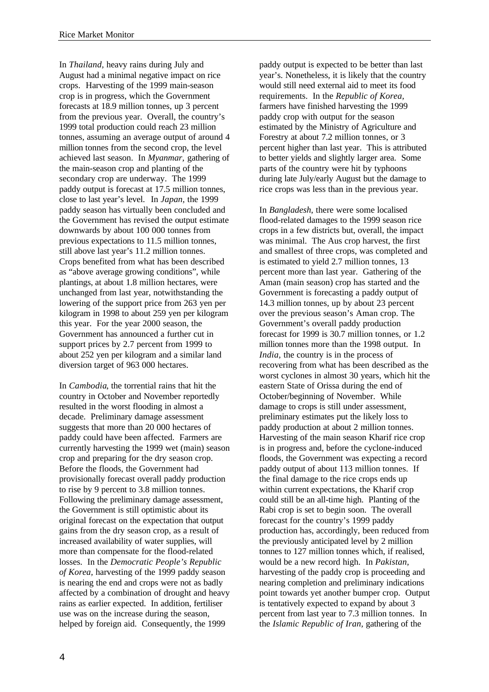In *Thailand,* heavy rains during July and August had a minimal negative impact on rice crops. Harvesting of the 1999 main-season crop is in progress, which the Government forecasts at 18.9 million tonnes, up 3 percent from the previous year. Overall, the country's 1999 total production could reach 23 million tonnes, assuming an average output of around 4 million tonnes from the second crop, the level achieved last season. In *Myanmar,* gathering of the main-season crop and planting of the secondary crop are underway. The 1999 paddy output is forecast at 17.5 million tonnes, close to last year's level. In *Japan,* the 1999 paddy season has virtually been concluded and the Government has revised the output estimate downwards by about 100 000 tonnes from previous expectations to 11.5 million tonnes, still above last year's 11.2 million tonnes. Crops benefited from what has been described as "above average growing conditions", while plantings, at about 1.8 million hectares, were unchanged from last year, notwithstanding the lowering of the support price from 263 yen per kilogram in 1998 to about 259 yen per kilogram this year. For the year 2000 season, the Government has announced a further cut in support prices by 2.7 percent from 1999 to about 252 yen per kilogram and a similar land diversion target of 963 000 hectares.

In *Cambodia*, the torrential rains that hit the country in October and November reportedly resulted in the worst flooding in almost a decade. Preliminary damage assessment suggests that more than 20 000 hectares of paddy could have been affected. Farmers are currently harvesting the 1999 wet (main) season crop and preparing for the dry season crop. Before the floods, the Government had provisionally forecast overall paddy production to rise by 9 percent to 3.8 million tonnes. Following the preliminary damage assessment, the Government is still optimistic about its original forecast on the expectation that output gains from the dry season crop, as a result of increased availability of water supplies, will more than compensate for the flood-related losses. In the *Democratic People's Republic of Korea,* harvesting of the 1999 paddy season is nearing the end and crops were not as badly affected by a combination of drought and heavy rains as earlier expected. In addition, fertiliser use was on the increase during the season, helped by foreign aid. Consequently, the 1999

paddy output is expected to be better than last year's. Nonetheless, it is likely that the country would still need external aid to meet its food requirements. In the *Republic of Korea,* farmers have finished harvesting the 1999 paddy crop with output for the season estimated by the Ministry of Agriculture and Forestry at about 7.2 million tonnes, or 3 percent higher than last year. This is attributed to better yields and slightly larger area. Some parts of the country were hit by typhoons during late July/early August but the damage to rice crops was less than in the previous year.

In *Bangladesh*, there were some localised flood-related damages to the 1999 season rice crops in a few districts but, overall, the impact was minimal. The Aus crop harvest, the first and smallest of three crops, was completed and is estimated to yield 2.7 million tonnes, 13 percent more than last year. Gathering of the Aman (main season) crop has started and the Government is forecasting a paddy output of 14.3 million tonnes, up by about 23 percent over the previous season's Aman crop. The Government's overall paddy production forecast for 1999 is 30.7 million tonnes, or 1.2 million tonnes more than the 1998 output. In *India,* the country is in the process of recovering from what has been described as the worst cyclones in almost 30 years, which hit the eastern State of Orissa during the end of October/beginning of November. While damage to crops is still under assessment, preliminary estimates put the likely loss to paddy production at about 2 million tonnes. Harvesting of the main season Kharif rice crop is in progress and, before the cyclone-induced floods, the Government was expecting a record paddy output of about 113 million tonnes. If the final damage to the rice crops ends up within current expectations, the Kharif crop could still be an all-time high. Planting of the Rabi crop is set to begin soon. The overall forecast for the country's 1999 paddy production has, accordingly, been reduced from the previously anticipated level by 2 million tonnes to 127 million tonnes which, if realised, would be a new record high. In *Pakistan,* harvesting of the paddy crop is proceeding and nearing completion and preliminary indications point towards yet another bumper crop. Output is tentatively expected to expand by about 3 percent from last year to 7.3 million tonnes. In the *Islamic Republic of Iran,* gathering of the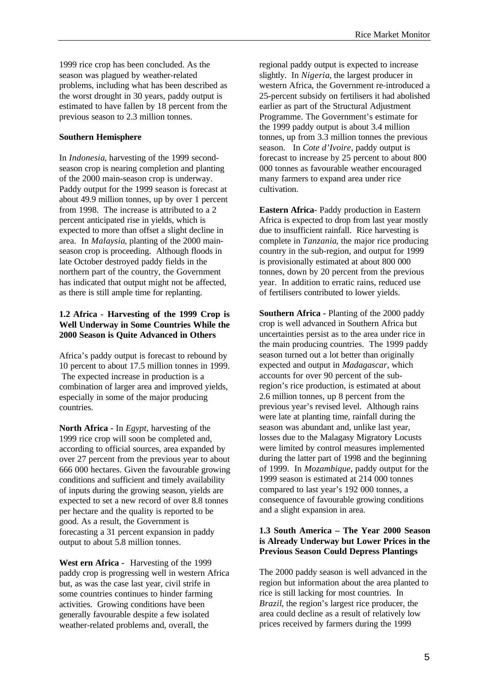1999 rice crop has been concluded. As the season was plagued by weather-related problems, including what has been described as the worst drought in 30 years, paddy output is estimated to have fallen by 18 percent from the previous season to 2.3 million tonnes.

### **Southern Hemisphere**

In *Indonesia*, harvesting of the 1999 secondseason crop is nearing completion and planting of the 2000 main-season crop is underway. Paddy output for the 1999 season is forecast at about 49.9 million tonnes, up by over 1 percent from 1998. The increase is attributed to a 2 percent anticipated rise in yields, which is expected to more than offset a slight decline in area. In *Malaysia*, planting of the 2000 mainseason crop is proceeding. Although floods in late October destroyed paddy fields in the northern part of the country, the Government has indicated that output might not be affected, as there is still ample time for replanting.

### **1.2 Africa - Harvesting of the 1999 Crop is Well Underway in Some Countries While the 2000 Season is Quite Advanced in Others**

Africa's paddy output is forecast to rebound by 10 percent to about 17.5 million tonnes in 1999. The expected increase in production is a combination of larger area and improved yields, especially in some of the major producing countries.

**North Africa -** In *Egypt*, harvesting of the 1999 rice crop will soon be completed and, according to official sources, area expanded by over 27 percent from the previous year to about 666 000 hectares. Given the favourable growing conditions and sufficient and timely availability of inputs during the growing season, yields are expected to set a new record of over 8.8 tonnes per hectare and the quality is reported to be good. As a result, the Government is forecasting a 31 percent expansion in paddy output to about 5.8 million tonnes.

**West ern Africa -** Harvesting of the 1999 paddy crop is progressing well in western Africa but, as was the case last year, civil strife in some countries continues to hinder farming activities. Growing conditions have been generally favourable despite a few isolated weather-related problems and, overall, the

regional paddy output is expected to increase slightly. In *Nigeria*, the largest producer in western Africa, the Government re-introduced a 25-percent subsidy on fertilisers it had abolished earlier as part of the Structural Adjustment Programme. The Government's estimate for the 1999 paddy output is about 3.4 million tonnes, up from 3.3 million tonnes the previous season. In *Cote d'Ivoire*, paddy output is forecast to increase by 25 percent to about 800 000 tonnes as favourable weather encouraged many farmers to expand area under rice cultivation.

**Eastern Africa-** Paddy production in Eastern Africa is expected to drop from last year mostly due to insufficient rainfall. Rice harvesting is complete in *Tanzania*, the major rice producing country in the sub-region, and output for 1999 is provisionally estimated at about 800 000 tonnes, down by 20 percent from the previous year. In addition to erratic rains, reduced use of fertilisers contributed to lower yields.

**Southern Africa -** Planting of the 2000 paddy crop is well advanced in Southern Africa but uncertainties persist as to the area under rice in the main producing countries. The 1999 paddy season turned out a lot better than originally expected and output in *Madagascar*, which accounts for over 90 percent of the subregion's rice production, is estimated at about 2.6 million tonnes, up 8 percent from the previous year's revised level. Although rains were late at planting time, rainfall during the season was abundant and, unlike last year, losses due to the Malagasy Migratory Locusts were limited by control measures implemented during the latter part of 1998 and the beginning of 1999. In *Mozambique*, paddy output for the 1999 season is estimated at 214 000 tonnes compared to last year's 192 000 tonnes, a consequence of favourable growing conditions and a slight expansion in area.

### **1.3 South America – The Year 2000 Season is Already Underway but Lower Prices in the Previous Season Could Depress Plantings**

The 2000 paddy season is well advanced in the region but information about the area planted to rice is still lacking for most countries. In *Brazil*, the region's largest rice producer, the area could decline as a result of relatively low prices received by farmers during the 1999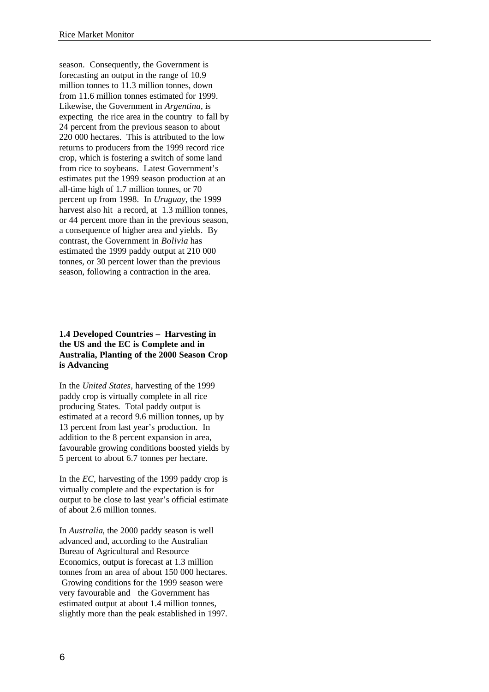season. Consequently, the Government is forecasting an output in the range of 10.9 million tonnes to 11.3 million tonnes, down from 11.6 million tonnes estimated for 1999. Likewise, the Government in *Argentina*, is expecting the rice area in the country to fall by 24 percent from the previous season to about 220 000 hectares. This is attributed to the low returns to producers from the 1999 record rice crop, which is fostering a switch of some land from rice to soybeans. Latest Government's estimates put the 1999 season production at an all-time high of 1.7 million tonnes, or 70 percent up from 1998. In *Uruguay*, the 1999 harvest also hit a record, at 1.3 million tonnes, or 44 percent more than in the previous season, a consequence of higher area and yields. By contrast, the Government in *Bolivia* has estimated the 1999 paddy output at 210 000 tonnes, or 30 percent lower than the previous season, following a contraction in the area.

#### **1.4 Developed Countries – Harvesting in the US and the EC is Complete and in Australia, Planting of the 2000 Season Crop is Advancing**

In the *United States*, harvesting of the 1999 paddy crop is virtually complete in all rice producing States. Total paddy output is estimated at a record 9.6 million tonnes, up by 13 percent from last year's production. In addition to the 8 percent expansion in area, favourable growing conditions boosted yields by 5 percent to about 6.7 tonnes per hectare.

In the *EC*, harvesting of the 1999 paddy crop is virtually complete and the expectation is for output to be close to last year's official estimate of about 2.6 million tonnes.

In *Australia*, the 2000 paddy season is well advanced and, according to the Australian Bureau of Agricultural and Resource Economics, output is forecast at 1.3 million tonnes from an area of about 150 000 hectares. Growing conditions for the 1999 season were very favourable and the Government has estimated output at about 1.4 million tonnes, slightly more than the peak established in 1997.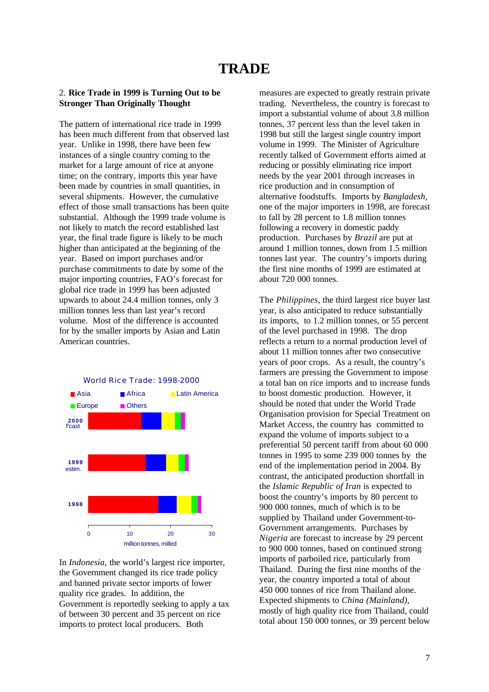#### 2. **Rice Trade in 1999 is Turning Out to be Stronger Than Originally Thought**

The pattern of international rice trade in 1999 has been much different from that observed last year. Unlike in 1998, there have been few instances of a single country coming to the market for a large amount of rice at anyone time; on the contrary, imports this year have been made by countries in small quantities, in several shipments. However, the cumulative effect of those small transactions has been quite substantial. Although the 1999 trade volume is not likely to match the record established last year, the final trade figure is likely to be much higher than anticipated at the beginning of the year. Based on import purchases and/or purchase commitments to date by some of the major importing countries, FAO's forecast for global rice trade in 1999 has been adjusted upwards to about 24.4 million tonnes, only 3 million tonnes less than last year's record volume. Most of the difference is accounted for by the smaller imports by Asian and Latin American countries.



In *Indonesia,* the world's largest rice importer, the Government changed its rice trade policy and banned private sector imports of lower quality rice grades. In addition, the Government is reportedly seeking to apply a tax of between 30 percent and 35 percent on rice imports to protect local producers. Both

measures are expected to greatly restrain private trading. Nevertheless, the country is forecast to import a substantial volume of about 3.8 million tonnes, 37 percent less than the level taken in 1998 but still the largest single country import volume in 1999. The Minister of Agriculture recently talked of Government efforts aimed at reducing or possibly eliminating rice import needs by the year 2001 through increases in rice production and in consumption of alternative foodstuffs. Imports by *Bangladesh,* one of the major importers in 1998, are forecast to fall by 28 percent to 1.8 million tonnes following a recovery in domestic paddy production. Purchases by *Brazil* are put at around 1 million tonnes, down from 1.5 million tonnes last year. The country's imports during the first nine months of 1999 are estimated at about 720 000 tonnes.

The *Philippines*, the third largest rice buyer last year, is also anticipated to reduce substantially its imports, to 1.2 million tonnes, or 55 percent of the level purchased in 1998. The drop reflects a return to a normal production level of about 11 million tonnes after two consecutive years of poor crops. As a result, the country's farmers are pressing the Government to impose a total ban on rice imports and to increase funds to boost domestic production. However, it should be noted that under the World Trade Organisation provision for Special Treatment on Market Access, the country has committed to expand the volume of imports subject to a preferential 50 percent tariff from about 60 000 tonnes in 1995 to some 239 000 tonnes by the end of the implementation period in 2004. By contrast, the anticipated production shortfall in the *Islamic Republic of Iran* is expected to boost the country's imports by 80 percent to 900 000 tonnes, much of which is to be supplied by Thailand under Government-to-Government arrangements. Purchases by *Nigeria* are forecast to increase by 29 percent to 900 000 tonnes, based on continued strong imports of parboiled rice, particularly from Thailand. During the first nine months of the year, the country imported a total of about 450 000 tonnes of rice from Thailand alone. Expected shipments to *China (Mainland)*, mostly of high quality rice from Thailand, could total about 150 000 tonnes, or 39 percent below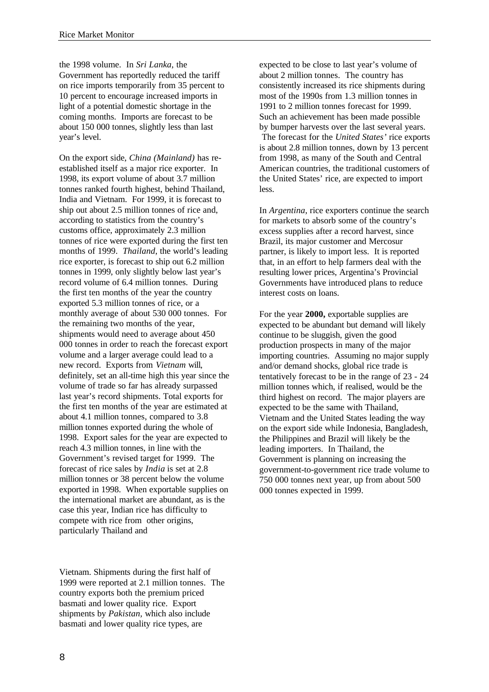the 1998 volume. In *Sri Lanka*, the Government has reportedly reduced the tariff on rice imports temporarily from 35 percent to 10 percent to encourage increased imports in light of a potential domestic shortage in the coming months. Imports are forecast to be about 150 000 tonnes, slightly less than last year's level.

On the export side, *China (Mainland)* has reestablished itself as a major rice exporter. In 1998, its export volume of about 3.7 million tonnes ranked fourth highest, behind Thailand, India and Vietnam. For 1999, it is forecast to ship out about 2.5 million tonnes of rice and, according to statistics from the country's customs office, approximately 2.3 million tonnes of rice were exported during the first ten months of 1999. *Thailand*, the world's leading rice exporter, is forecast to ship out 6.2 million tonnes in 1999, only slightly below last year's record volume of 6.4 million tonnes. During the first ten months of the year the country exported 5.3 million tonnes of rice, or a monthly average of about 530 000 tonnes. For the remaining two months of the year, shipments would need to average about 450 000 tonnes in order to reach the forecast export volume and a larger average could lead to a new record. Exports from *Vietnam* will, definitely, set an all-time high this year since the volume of trade so far has already surpassed last year's record shipments. Total exports for the first ten months of the year are estimated at about 4.1 million tonnes, compared to 3.8 million tonnes exported during the whole of 1998. Export sales for the year are expected to reach 4.3 million tonnes, in line with the Government's revised target for 1999. The forecast of rice sales by *India* is set at 2.8 million tonnes or 38 percent below the volume exported in 1998. When exportable supplies on the international market are abundant, as is the case this year, Indian rice has difficulty to compete with rice from other origins, particularly Thailand and

Vietnam. Shipments during the first half of 1999 were reported at 2.1 million tonnes. The country exports both the premium priced basmati and lower quality rice. Export shipments by *Pakistan,* which also include basmati and lower quality rice types, are

expected to be close to last year's volume of about 2 million tonnes. The country has consistently increased its rice shipments during most of the 1990s from 1.3 million tonnes in 1991 to 2 million tonnes forecast for 1999. Such an achievement has been made possible by bumper harvests over the last several years. The forecast for the *United States'* rice exports is about 2.8 million tonnes, down by 13 percent from 1998, as many of the South and Central American countries, the traditional customers of the United States' rice, are expected to import less.

In *Argentina*, rice exporters continue the search for markets to absorb some of the country's excess supplies after a record harvest, since Brazil, its major customer and Mercosur partner, is likely to import less. It is reported that, in an effort to help farmers deal with the resulting lower prices, Argentina's Provincial Governments have introduced plans to reduce interest costs on loans.

For the year **2000,** exportable supplies are expected to be abundant but demand will likely continue to be sluggish, given the good production prospects in many of the major importing countries. Assuming no major supply and/or demand shocks, global rice trade is tentatively forecast to be in the range of 23 - 24 million tonnes which, if realised, would be the third highest on record. The major players are expected to be the same with Thailand, Vietnam and the United States leading the way on the export side while Indonesia, Bangladesh, the Philippines and Brazil will likely be the leading importers. In Thailand, the Government is planning on increasing the government-to-government rice trade volume to 750 000 tonnes next year, up from about 500 000 tonnes expected in 1999.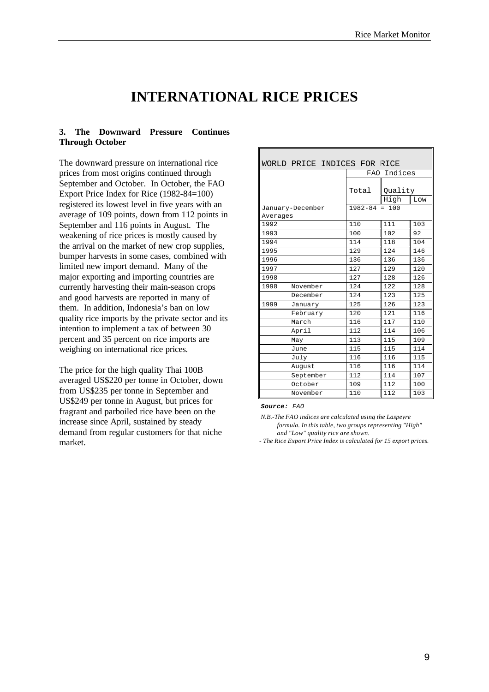## **INTERNATIONAL RICE PRICES**

#### **3. The Downward Pressure Continues Through October**

The downward pressure on international rice prices from most origins continued through September and October. In October, the FAO Export Price Index for Rice (1982-84=100) registered its lowest level in five years with an average of 109 points, down from 112 points in September and 116 points in August. The weakening of rice prices is mostly caused by the arrival on the market of new crop supplies, bumper harvests in some cases, combined with limited new import demand. Many of the major exporting and importing countries are currently harvesting their main-season crops and good harvests are reported in many of them. In addition, Indonesia's ban on low quality rice imports by the private sector and its intention to implement a tax of between 30 percent and 35 percent on rice imports are weighing on international rice prices.

The price for the high quality Thai 100B averaged US\$220 per tonne in October, down from US\$235 per tonne in September and US\$249 per tonne in August, but prices for fragrant and parboiled rice have been on the increase since April, sustained by steady demand from regular customers for that niche market.

| WORLD PRICE INDICES FOR RICE |             |                        |     |  |  |  |  |  |  |
|------------------------------|-------------|------------------------|-----|--|--|--|--|--|--|
|                              | FAO Indices |                        |     |  |  |  |  |  |  |
|                              | Total       | Quality<br>High<br>Low |     |  |  |  |  |  |  |
| January-December             |             | $1982 - 84 = 100$      |     |  |  |  |  |  |  |
| Averages                     |             |                        |     |  |  |  |  |  |  |
| 1992                         | 110         | 111                    | 103 |  |  |  |  |  |  |
| 1993                         | 100         | 102                    | 92  |  |  |  |  |  |  |
| 1994                         | 114         | 118                    | 104 |  |  |  |  |  |  |
| 1995                         | 129         | 124                    | 146 |  |  |  |  |  |  |
| 1996                         | 136         | 136                    | 136 |  |  |  |  |  |  |
| 1997                         | 127         | 129                    | 120 |  |  |  |  |  |  |
| 1998                         | 127         | 128                    | 126 |  |  |  |  |  |  |
| 1998<br>November             | 124         | 122                    | 128 |  |  |  |  |  |  |
| December                     | 124         | 123                    | 125 |  |  |  |  |  |  |
| 1999<br>January              | 125         | 126                    | 123 |  |  |  |  |  |  |
| February                     | 120         | 121                    | 116 |  |  |  |  |  |  |
| March                        | 116         | 117                    | 110 |  |  |  |  |  |  |
| April                        | 112         | 114                    | 106 |  |  |  |  |  |  |
| May                          | 113         | 115                    | 109 |  |  |  |  |  |  |
| June                         | 115         | 115                    | 114 |  |  |  |  |  |  |
| July                         | 116         | 116                    | 115 |  |  |  |  |  |  |
| August                       | 116         | 116                    | 114 |  |  |  |  |  |  |
| September                    | 112         | 114                    | 107 |  |  |  |  |  |  |
| October                      | 109         | 112                    | 100 |  |  |  |  |  |  |
| November                     | 110         | 112                    | 103 |  |  |  |  |  |  |

*Source: FAO*

*- The Rice Export Price Index is calculated for 15 export prices.*

*N.B.-The FAO indices are calculated using the Laspeyre formula. In this table, two groups representing "High" and "Low" quality rice are shown.*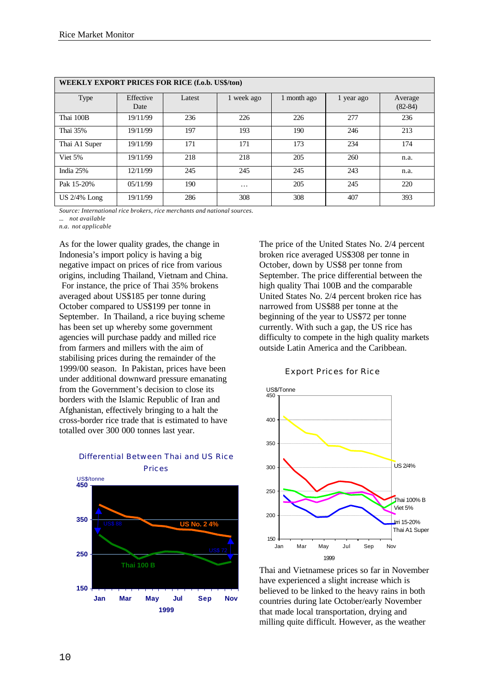| <b>WEEKLY EXPORT PRICES FOR RICE (f.o.b. US\$/ton)</b> |                   |        |            |             |            |                      |  |  |  |  |  |  |
|--------------------------------------------------------|-------------------|--------|------------|-------------|------------|----------------------|--|--|--|--|--|--|
| <b>Type</b>                                            | Effective<br>Date | Latest | 1 week ago | 1 month ago | 1 year ago | Average<br>$(82-84)$ |  |  |  |  |  |  |
| Thai 100B                                              | 19/11/99          | 236    | 226        | 226         | 277        | 236                  |  |  |  |  |  |  |
| Thai 35%                                               | 19/11/99          | 197    | 193        | 190         | 246        | 213                  |  |  |  |  |  |  |
| Thai A1 Super                                          | 19/11/99          | 171    | 171        | 173         | 234        | 174                  |  |  |  |  |  |  |
| Viet 5%                                                | 19/11/99          | 218    | 218        | 205         | 260        | n.a.                 |  |  |  |  |  |  |
| India 25%                                              | 12/11/99          | 245    | 245        | 245         | 243        | n.a.                 |  |  |  |  |  |  |
| Pak 15-20%                                             | 05/11/99          | 190    | $\cdots$   | 205         | 245        | 220                  |  |  |  |  |  |  |
| $US 2/4\%$ Long                                        | 19/11/99          | 286    | 308        | 308         | 407        | 393                  |  |  |  |  |  |  |

*Source: International rice brokers, rice merchants and national sources.*

*... not available*

*n.a. not applicable*

As for the lower quality grades, the change in Indonesia's import policy is having a big negative impact on prices of rice from various origins, including Thailand, Vietnam and China. For instance, the price of Thai 35% brokens averaged about US\$185 per tonne during October compared to US\$199 per tonne in September. In Thailand, a rice buying scheme has been set up whereby some government agencies will purchase paddy and milled rice from farmers and millers with the aim of stabilising prices during the remainder of the 1999/00 season. In Pakistan, prices have been under additional downward pressure emanating from the Government's decision to close its borders with the Islamic Republic of Iran and Afghanistan, effectively bringing to a halt the cross-border rice trade that is estimated to have totalled over 300 000 tonnes last year.



Differential Between Thai and US Rice Prices

The price of the United States No. 2/4 percent broken rice averaged US\$308 per tonne in October, down by US\$8 per tonne from September. The price differential between the high quality Thai 100B and the comparable United States No. 2/4 percent broken rice has narrowed from US\$88 per tonne at the beginning of the year to US\$72 per tonne currently. With such a gap, the US rice has difficulty to compete in the high quality markets outside Latin America and the Caribbean.

#### Export Prices for Rice



Thai and Vietnamese prices so far in November have experienced a slight increase which is believed to be linked to the heavy rains in both countries during late October/early November that made local transportation, drying and milling quite difficult. However, as the weather